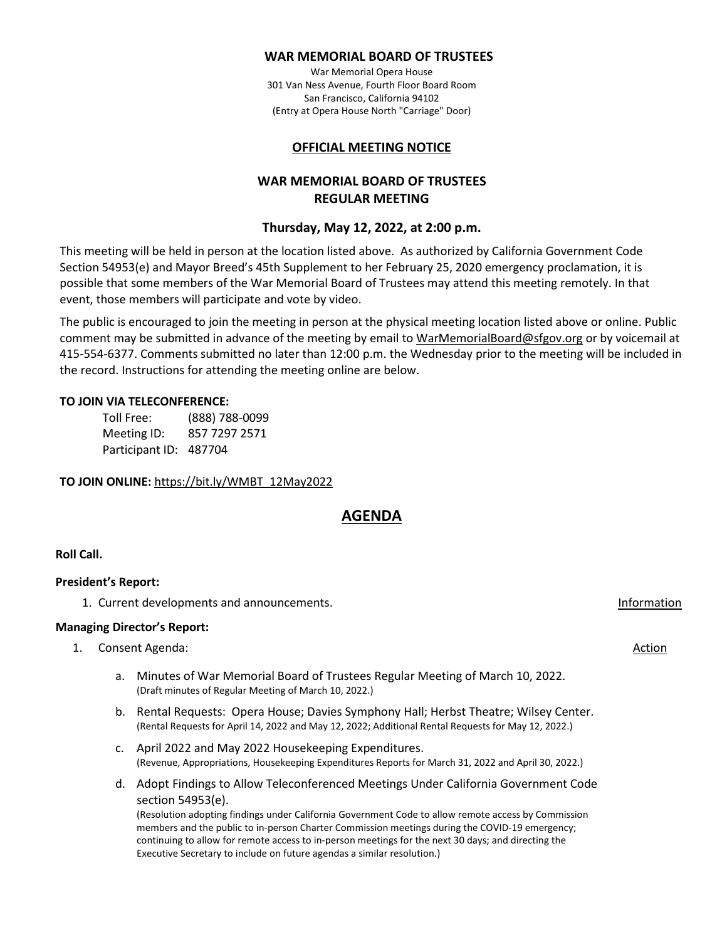#### **WAR MEMORIAL BOARD OF TRUSTEES**

War Memorial Opera House 301 Van Ness Avenue, Fourth Floor Board Room San Francisco, California 94102 (Entry at Opera House North "Carriage" Door)

#### **OFFICIAL MEETING NOTICE**

# **WAR MEMORIAL BOARD OF TRUSTEES REGULAR MEETING**

### **Thursday, May 12, 2022, at 2:00 p.m.**

This meeting will be held in person at the location listed above. As authorized by California Government Code Section 54953(e) and Mayor Breed's 45th Supplement to her February 25, 2020 emergency proclamation, it is possible that some members of the War Memorial Board of Trustees may attend this meeting remotely. In that event, those members will participate and vote by video.

The public is encouraged to join the meeting in person at the physical meeting location listed above or online. Public comment may be submitted in advance of the meeting by email t[o WarMemorialBoard@sfgov.org](mailto:WarMemorialBoard@sfgov.org) or by voicemail at 415-554-6377. Comments submitted no later than 12:00 p.m. the Wednesday prior to the meeting will be included in the record. Instructions for attending the meeting online are below.

#### **TO JOIN VIA TELECONFERENCE:**

| Toll Free:             | (888) 788-0099 |
|------------------------|----------------|
| Meeting ID:            | 857 7297 2571  |
| Participant ID: 487704 |                |

**TO JOIN ONLINE:** [https://bit.ly/WMBT\\_12May2022](https://bit.ly/WMBT_12May2022)

# **AGENDA**

#### **Roll Call.**

#### **President's Report:**

1. Current developments and announcements. Information

## **Managing Director's Report:**

- 1. Consent Agenda: Action and Action and Action and Action and Action and Action and Action and Action and Action
	- a. Minutes of War Memorial Board of Trustees Regular Meeting of March 10, 2022. (Draft minutes of Regular Meeting of March 10, 2022.)
	- b. Rental Requests: Opera House; Davies Symphony Hall; Herbst Theatre; Wilsey Center. (Rental Requests for April 14, 2022 and May 12, 2022; Additional Rental Requests for May 12, 2022.)
	- c. April 2022 and May 2022 Housekeeping Expenditures. (Revenue, Appropriations, Housekeeping Expenditures Reports for March 31, 2022 and April 30, 2022.)
	- d. Adopt Findings to Allow Teleconferenced Meetings Under California Government Code section 54953(e). (Resolution adopting findings under California Government Code to allow remote access by Commission members and the public to in-person Charter Commission meetings during the COVID-19 emergency;

continuing to allow for remote access to in-person meetings for the next 30 days; and directing the Executive Secretary to include on future agendas a similar resolution.)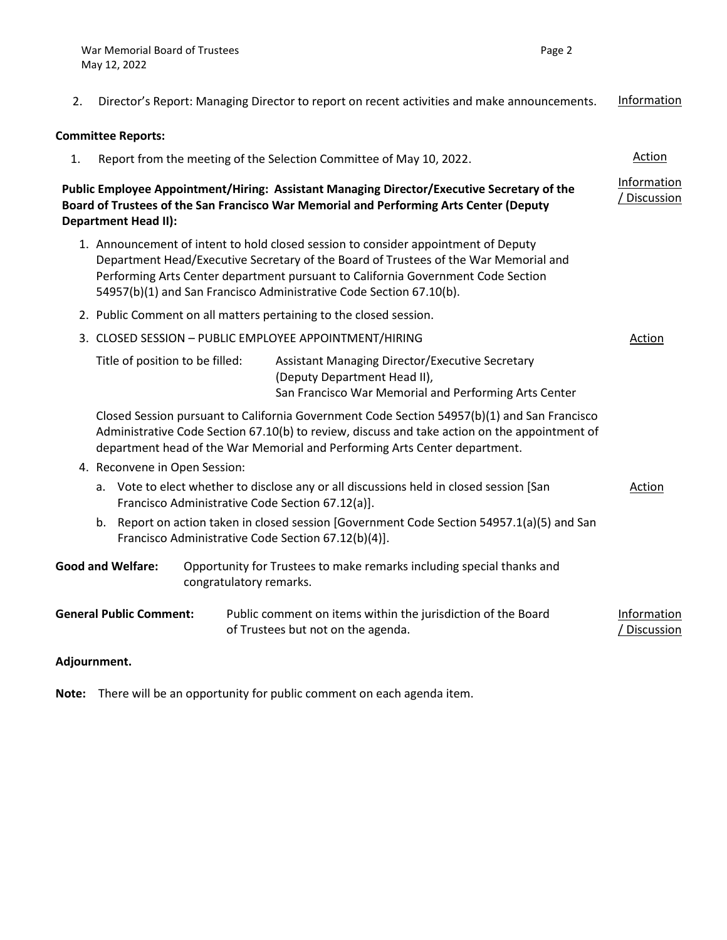/ Discussion

- 2. Director's Report: Managing Director to report on recent activities and make announcements. Information **Committee Reports:** 1. Report from the meeting of the Selection Committee of May 10, 2022. **Public Employee Appointment/Hiring: Assistant Managing Director/Executive Secretary of the Board of Trustees of the San Francisco War Memorial and Performing Arts Center (Deputy Department Head II):** 1. Announcement of intent to hold closed session to consider appointment of Deputy Department Head/Executive Secretary of the Board of Trustees of the War Memorial and Performing Arts Center department pursuant to California Government Code Section 54957(b)(1) and San Francisco Administrative Code Section 67.10(b). 2. Public Comment on all matters pertaining to the closed session. 3. CLOSED SESSION – PUBLIC EMPLOYEE APPOINTMENT/HIRING Title of position to be filled: Assistant Managing Director/Executive Secretary (Deputy Department Head II), San Francisco War Memorial and Performing Arts Center Action Closed Session pursuant to California Government Code Section 54957(b)(1) and San Francisco Administrative Code Section 67.10(b) to review, discuss and take action on the appointment of department head of the War Memorial and Performing Arts Center department. 4. Reconvene in Open Session: a. Vote to elect whether to disclose any or all discussions held in closed session [San Francisco Administrative Code Section 67.12(a)]. Action b. Report on action taken in closed session [Government Code Section 54957.1(a)(5) and San Francisco Administrative Code Section 67.12(b)(4)]. **Good and Welfare:** Opportunity for Trustees to make remarks including special thanks and congratulatory remarks. Information / Discussion **General Public Comment:** Public comment on items within the jurisdiction of the Board Information
- **Adjournment.**

**Note:** There will be an opportunity for public comment on each agenda item.

of Trustees but not on the agenda.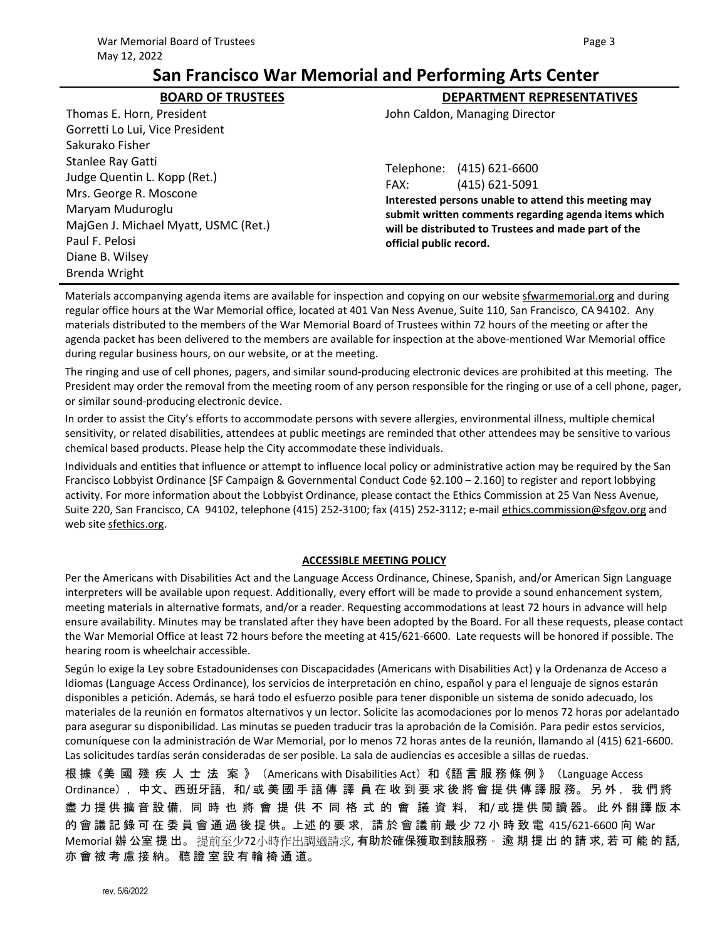# **BOARD OF TRUSTEES DEPARTMENT REPRESENTATIVES**

Thomas E. Horn, President Gorretti Lo Lui, Vice President Sakurako Fisher Stanlee Ray Gatti Judge Quentin L. Kopp (Ret.) Mrs. George R. Moscone Maryam Muduroglu MajGen J. Michael Myatt, USMC (Ret.) Paul F. Pelosi Diane B. Wilsey Brenda Wright

John Caldon, Managing Director

Telephone: (415) 621-6600 FAX: (415) 621-5091

**Interested persons unable to attend this meeting may submit written comments regarding agenda items which will be distributed to Trustees and made part of the official public record.**

Materials accompanying agenda items are available for inspection and copying on our website [sfwarmemorial.org](https://sfwarmemorial.org/) and during regular office hours at the War Memorial office, located at 401 Van Ness Avenue, Suite 110, San Francisco, CA 94102. Any materials distributed to the members of the War Memorial Board of Trustees within 72 hours of the meeting or after the agenda packet has been delivered to the members are available for inspection at the above-mentioned War Memorial office during regular business hours, on our website, or at the meeting.

The ringing and use of cell phones, pagers, and similar sound-producing electronic devices are prohibited at this meeting. The President may order the removal from the meeting room of any person responsible for the ringing or use of a cell phone, pager, or similar sound-producing electronic device.

In order to assist the City's efforts to accommodate persons with severe allergies, environmental illness, multiple chemical sensitivity, or related disabilities, attendees at public meetings are reminded that other attendees may be sensitive to various chemical based products. Please help the City accommodate these individuals.

Individuals and entities that influence or attempt to influence local policy or administrative action may be required by the San Francisco Lobbyist Ordinance [SF Campaign & Governmental Conduct Code §2.100 – 2.160] to register and report lobbying activity. For more information about the Lobbyist Ordinance, please contact the Ethics Commission at 25 Van Ness Avenue, Suite 220, San Francisco, CA 94102, telephone (415) 252-3100; fax (415) 252-3112; e-mail [ethics.commission@sfgov.org](mailto:ethics.commission@sfgov.org) and web site sfethics.org.

#### **ACCESSIBLE MEETING POLICY**

Per the Americans with Disabilities Act and the Language Access Ordinance, Chinese, Spanish, and/or American Sign Language interpreters will be available upon request. Additionally, every effort will be made to provide a sound enhancement system, meeting materials in alternative formats, and/or a reader. Requesting accommodations at least 72 hours in advance will help ensure availability. Minutes may be translated after they have been adopted by the Board. For all these requests, please contact the War Memorial Office at least 72 hours before the meeting at 415/621-6600. Late requests will be honored if possible. The hearing room is wheelchair accessible.

Según lo exige la Ley sobre Estadounidenses con Discapacidades (Americans with Disabilities Act) y la Ordenanza de Acceso a Idiomas (Language Access Ordinance), los servicios de interpretación en chino, español y para el lenguaje de signos estarán disponibles a petición. Además, se hará todo el esfuerzo posible para tener disponible un sistema de sonido adecuado, los materiales de la reunión en formatos alternativos y un lector. Solicite las acomodaciones por lo menos 72 horas por adelantado para asegurar su disponibilidad. Las minutas se pueden traducir tras la aprobación de la Comisión. Para pedir estos servicios, comuníquese con la administración de War Memorial, por lo menos 72 horas antes de la reunión, llamando al (415) 621-6600. Las solicitudes tardías serán consideradas de ser posible. La sala de audiencias es accesible a sillas de ruedas.

根 據《美 國 殘 疾 人 士 法 案 》(Americans with Disabilities Act)和《語言 服 務 條 例 》(Language Access Ordinance),中文、西班牙語,和/ 或 美 國 手 語 傳 譯 員 在 收 到 要 求 後 將 會 提 供 傳 譯 服 務。 另 外, 我 們 將 盡 力 提 供 擴 音 設 備, 同 時 也 將 會 提 供 不 同 格 式 的 會 議 資 料, 和/或 提 供 閱 讀 器。此 外 翻 譯 版 本 的 會 議 記 錄 可 在 委 員 會 通 過 後 提 供。上述 的 要 求, 請 於 會 議 前 最 少 72 小 時 致 電 415/621-6600 向 War Memorial 辦 公室 提 出。 提前至少72小時作出調適請求, 有助於確保獲取到該服務。 逾 期 提 出 的 請 求, 若 可 能 的 話, 亦 會 被 考 慮 接 納。 聽 證 室 設 有 輪 椅 通 道。